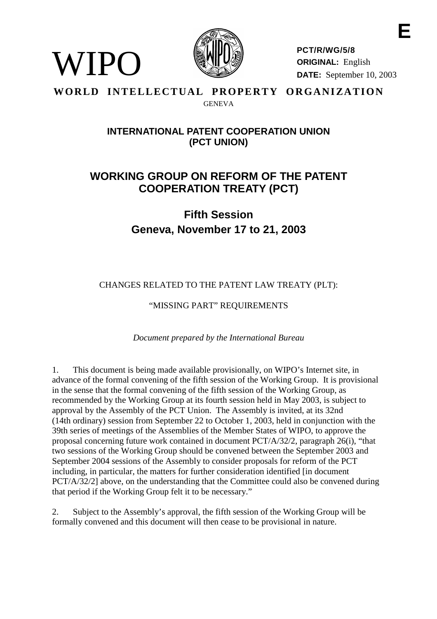

WIPO

**PCT/R/WG/5/8 ORIGINAL:** English **DATE:** September 10, 2003

# WORLD INTELLECTUAL PROPERTY ORGANIZATION GENEVA

# **INTERNATIONAL PATENT COOPERATION UNION (PCT UNION)**

# **WORKING GROUP ON REFORM OF THE PATENT COOPERATION TREATY (PCT)**

**Fifth Session Geneva, November 17 to 21, 2003**

CHANGES RELATED TO THE PATENT LAW TREATY (PLT):

"MISSING PART" REQUIREMENTS

*Document prepared by the International Bureau*

1. This document is being made available provisionally, on WIPO's Internet site, in advance of the formal convening of the fifth session of the Working Group. It is provisional in the sense that the formal convening of the fifth session of the Working Group, as recommended by the Working Group at its fourth session held in May 2003, is subject to approval by the Assembly of the PCT Union. The Assembly is invited, at its 32nd (14th ordinary) session from September 22 to October 1, 2003, held in conjunction with the 39th series of meetings of the Assemblies of the Member States of WIPO, to approve the proposal concerning future work contained in document PCT/A/32/2, paragraph 26(i), "that two sessions of the Working Group should be convened between the September 2003 and September 2004 sessions of the Assembly to consider proposals for reform of the PCT including, in particular, the matters for further consideration identified [in document] PCT/A/32/2] above, on the understanding that the Committee could also be convened during that period if the Working Group felt it to be necessary."

2. Subject to the Assembly's approval, the fifth session of the Working Group will be formally convened and this document will then cease to be provisional in nature.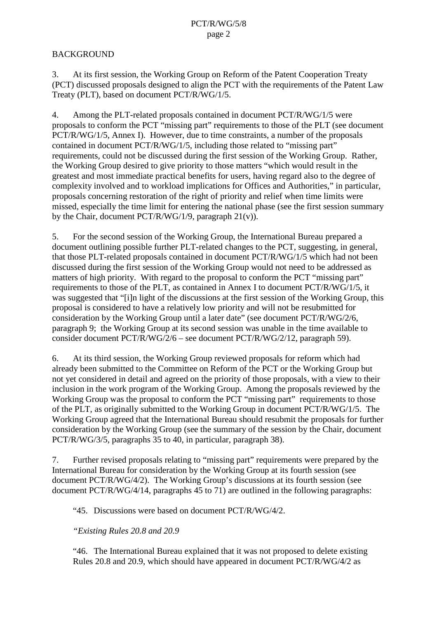# <span id="page-1-0"></span>**BACKGROUND**

3. At its first session, the Working Group on Reform of the Patent Cooperation Treaty (PCT) discussed proposals designed to align the PCT with the requirements of the Patent Law Treaty (PLT), based on document PCT/R/WG/1/5.

4. Among the PLT-related proposals contained in document PCT/R/WG/1/5 were proposals to conform the PCT "missing part" requirements to those of the PLT (see document PCT/R/WG/1/5, Annex I). However, due to time constraints, a number of the proposals contained in document PCT/R/WG/1/5, including those related to "missing part" requirements, could not be discussed during the first session of the Working Group. Rather, the Working Group desired to give priority to those matters "which would result in the greatest and most immediate practical benefits for users, having regard also to the degree of complexity involved and to workload implications for Offices and Authorities," in particular, proposals concerning restoration of the right of priority and relief when time limits were missed, especially the time limit for entering the national phase (see the first session summary by the Chair, document PCT/R/WG/1/9, paragraph 21(v)).

5. For the second session of the Working Group, the International Bureau prepared a document outlining possible further PLT-related changes to the PCT, suggesting, in general, that those PLT-related proposals contained in document PCT/R/WG/1/5 which had not been discussed during the first session of the Working Group would not need to be addressed as matters of high priority. With regard to the proposal to conform the PCT "missing part" requirements to those of the PLT, as contained in Annex I to document PCT/R/WG/1/5, it was suggested that "[i]n light of the discussions at the first session of the Working Group, this proposal is considered to have a relatively low priority and will not be resubmitted for consideration by the Working Group until a later date" (see document PCT/R/WG/2/6, paragraph 9; the Working Group at its second session was unable in the time available to consider document PCT/R/WG/2/6 – see document PCT/R/WG/2/12, paragraph 59).

6. At its third session, the Working Group reviewed proposals for reform which had already been submitted to the Committee on Reform of the PCT or the Working Group but not yet considered in detail and agreed on the priority of those proposals, with a view to their inclusion in the work program of the Working Group. Among the proposals reviewed by the Working Group was the proposal to conform the PCT "missing part" requirements to those of the PLT, as originally submitted to the Working Group in document PCT/R/WG/1/5. The Working Group agreed that the International Bureau should resubmit the proposals for further consideration by the Working Group (see the summary of the session by the Chair, document PCT/R/WG/3/5, paragraphs 35 to 40, in particular, paragraph 38).

7. Further revised proposals relating to "missing part" requirements were prepared by the International Bureau for consideration by the Working Group at its fourth session (see document PCT/R/WG/4/2). The Working Group's discussions at its fourth session (see document PCT/R/WG/4/14, paragraphs 45 to 71) are outlined in the following paragraphs:

"45. Discussions were based on document PCT/R/WG/4/2.

# *"Existing Rules 20.8 and 20.9*

"46. The International Bureau explained that it was not proposed to delete existing Rules 20.8 and 20.9, which should have appeared in document PCT/R/WG/4/2 as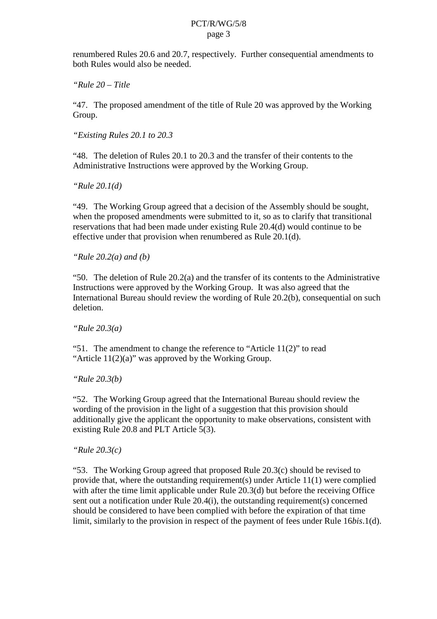renumbered Rules 20.6 and 20.7, respectively. Further consequential amendments to both Rules would also be needed.

*"Rule 20 – Title*

"47. The proposed amendment of the title of Rule 20 was approved by the Working Group.

*"Existing Rules 20.1 to 20.3*

"48. The deletion of Rules 20.1 to 20.3 and the transfer of their contents to the Administrative Instructions were approved by the Working Group.

*"Rule 20.1(d)*

"49. The Working Group agreed that a decision of the Assembly should be sought, when the proposed amendments were submitted to it, so as to clarify that transitional reservations that had been made under existing Rule 20.4(d) would continue to be effective under that provision when renumbered as Rule 20.1(d).

*"Rule 20.2(a) and (b)*

"50. The deletion of Rule  $20.2(a)$  and the transfer of its contents to the Administrative Instructions were approved by the Working Group. It was also agreed that the International Bureau should review the wording of Rule 20.2(b), consequential on such deletion.

*"Rule 20.3(a)*

"51. The amendment to change the reference to "Article  $11(2)$ " to read "Article  $11(2)(a)$ " was approved by the Working Group.

*"Rule 20.3(b)*

"52. The Working Group agreed that the International Bureau should review the wording of the provision in the light of a suggestion that this provision should additionally give the applicant the opportunity to make observations, consistent with existing Rule 20.8 and PLT Article 5(3).

*"Rule 20.3(c)*

"53. The Working Group agreed that proposed Rule 20.3(c) should be revised to provide that, where the outstanding requirement(s) under Article 11(1) were complied with after the time limit applicable under Rule 20.3(d) but before the receiving Office sent out a notification under Rule 20.4(i), the outstanding requirement(s) concerned should be considered to have been complied with before the expiration of that time limit, similarly to the provision in respect of the payment of fees under Rule 16*bis*.1(d).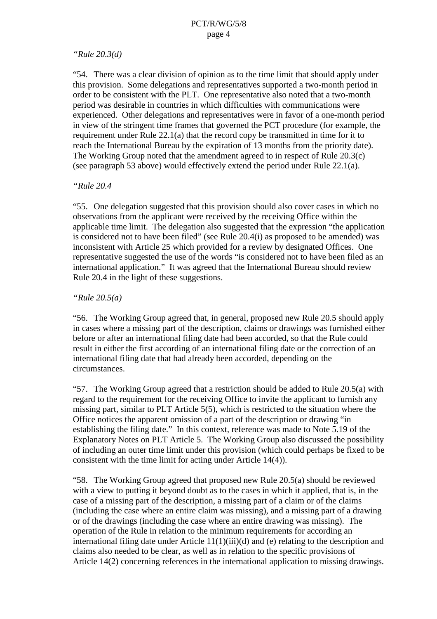# *"Rule 20.3(d)*

"54. There was a clear division of opinion as to the time limit that should apply under this provision. Some delegations and representatives supported a two-month period in order to be consistent with the PLT. One representative also noted that a two-month period was desirable in countries in which difficulties with communications were experienced. Other delegations and representatives were in favor of a one-month period in view of the stringent time frames that governed the PCT procedure (for example, the requirement under Rule 22.1(a) that the record copy be transmitted in time for it to reach the International Bureau by the expiration of 13 months from the priority date). The Working Group noted that the amendment agreed to in respect of Rule 20.3(c) (see paragraph 53 above) would effectively extend the period under Rule 22.1(a).

#### *"Rule 20.4*

"55. One delegation suggested that this provision should also cover cases in which no observations from the applicant were received by the receiving Office within the applicable time limit. The delegation also suggested that the expression "the application is considered not to have been filed" (see Rule 20.4(i) as proposed to be amended) was inconsistent with Article 25 which provided for a review by designated Offices. One representative suggested the use of the words "is considered not to have been filed as an international application." It was agreed that the International Bureau should review Rule 20.4 in the light of these suggestions.

# *"Rule 20.5(a)*

"56. The Working Group agreed that, in general, proposed new Rule 20.5 should apply in cases where a missing part of the description, claims or drawings was furnished either before or after an international filing date had been accorded, so that the Rule could result in either the first according of an international filing date or the correction of an international filing date that had already been accorded, depending on the circumstances.

"57. The Working Group agreed that a restriction should be added to Rule 20.5(a) with regard to the requirement for the receiving Office to invite the applicant to furnish any missing part, similar to PLT Article 5(5), which is restricted to the situation where the Office notices the apparent omission of a part of the description or drawing "in establishing the filing date." In this context, reference was made to Note 5.19 of the Explanatory Notes on PLT Article 5. The Working Group also discussed the possibility of including an outer time limit under this provision (which could perhaps be fixed to be consistent with the time limit for acting under Article 14(4)).

"58. The Working Group agreed that proposed new Rule 20.5(a) should be reviewed with a view to putting it beyond doubt as to the cases in which it applied, that is, in the case of a missing part of the description, a missing part of a claim or of the claims (including the case where an entire claim was missing), and a missing part of a drawing or of the drawings (including the case where an entire drawing was missing). The operation of the Rule in relation to the minimum requirements for according an international filing date under Article 11(1)(iii)(d) and (e) relating to the description and claims also needed to be clear, as well as in relation to the specific provisions of Article 14(2) concerning references in the international application to missing drawings.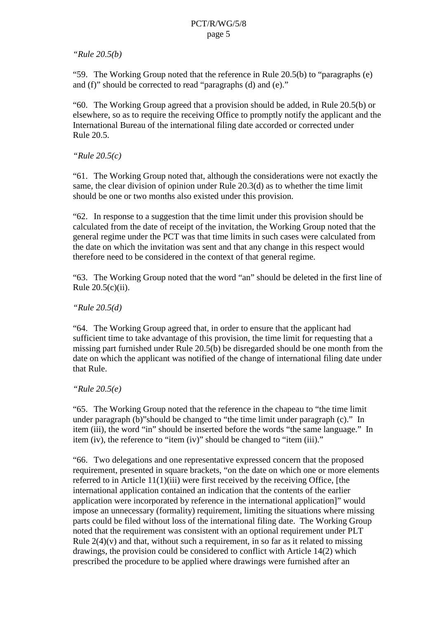# *"Rule 20.5(b)*

"59. The Working Group noted that the reference in Rule 20.5(b) to "paragraphs (e) and (f)" should be corrected to read "paragraphs (d) and (e)."

"60. The Working Group agreed that a provision should be added, in Rule 20.5(b) or elsewhere, so as to require the receiving Office to promptly notify the applicant and the International Bureau of the international filing date accorded or corrected under Rule 20.5.

*"Rule 20.5(c)*

"61. The Working Group noted that, although the considerations were not exactly the same, the clear division of opinion under Rule 20.3(d) as to whether the time limit should be one or two months also existed under this provision.

"62. In response to a suggestion that the time limit under this provision should be calculated from the date of receipt of the invitation, the Working Group noted that the general regime under the PCT was that time limits in such cases were calculated from the date on which the invitation was sent and that any change in this respect would therefore need to be considered in the context of that general regime.

"63. The Working Group noted that the word "an" should be deleted in the first line of Rule 20.5(c)(ii).

*"Rule 20.5(d)*

"64. The Working Group agreed that, in order to ensure that the applicant had sufficient time to take advantage of this provision, the time limit for requesting that a missing part furnished under Rule 20.5(b) be disregarded should be one month from the date on which the applicant was notified of the change of international filing date under that Rule.

*"Rule 20.5(e)*

"65. The Working Group noted that the reference in the chapeau to "the time limit under paragraph (b)"should be changed to "the time limit under paragraph (c)." In item (iii), the word "in" should be inserted before the words "the same language." In item (iv), the reference to "item (iv)" should be changed to "item (iii)."

"66. Two delegations and one representative expressed concern that the proposed requirement, presented in square brackets, "on the date on which one or more elements referred to in Article 11(1)(iii) were first received by the receiving Office, [the international application contained an indication that the contents of the earlier application were incorporated by reference in the international application]" would impose an unnecessary (formality) requirement, limiting the situations where missing parts could be filed without loss of the international filing date. The Working Group noted that the requirement was consistent with an optional requirement under PLT Rule  $2(4)(v)$  and that, without such a requirement, in so far as it related to missing drawings, the provision could be considered to conflict with Article 14(2) which prescribed the procedure to be applied where drawings were furnished after an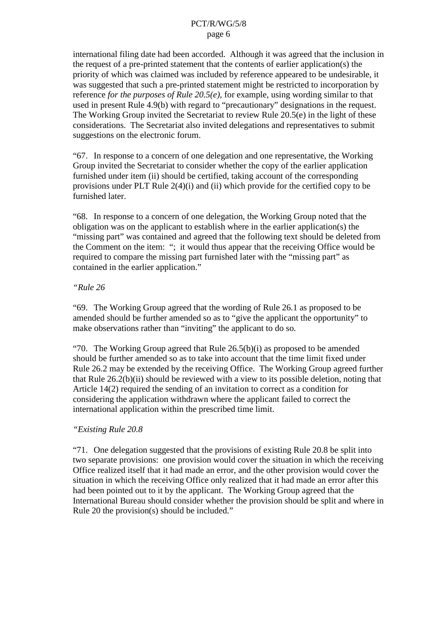international filing date had been accorded. Although it was agreed that the inclusion in the request of a pre-printed statement that the contents of earlier application(s) the priority of which was claimed was included by reference appeared to be undesirable, it was suggested that such a pre-printed statement might be restricted to incorporation by reference *for the purposes of Rule 20.5(e)*, for example, using wording similar to that used in present Rule 4.9(b) with regard to "precautionary" designations in the request. The Working Group invited the Secretariat to review Rule 20.5(e) in the light of these considerations. The Secretariat also invited delegations and representatives to submit suggestions on the electronic forum.

"67. In response to a concern of one delegation and one representative, the Working Group invited the Secretariat to consider whether the copy of the earlier application furnished under item (ii) should be certified, taking account of the corresponding provisions under PLT Rule 2(4)(i) and (ii) which provide for the certified copy to be furnished later.

"68. In response to a concern of one delegation, the Working Group noted that the obligation was on the applicant to establish where in the earlier application(s) the "missing part" was contained and agreed that the following text should be deleted from the Comment on the item: "; it would thus appear that the receiving Office would be required to compare the missing part furnished later with the "missing part" as contained in the earlier application."

#### *"Rule 26*

"69. The Working Group agreed that the wording of Rule 26.1 as proposed to be amended should be further amended so as to "give the applicant the opportunity" to make observations rather than "inviting" the applicant to do so.

"70. The Working Group agreed that Rule  $26.5(b)(i)$  as proposed to be amended should be further amended so as to take into account that the time limit fixed under Rule 26.2 may be extended by the receiving Office. The Working Group agreed further that Rule 26.2(b)(ii) should be reviewed with a view to its possible deletion, noting that Article 14(2) required the sending of an invitation to correct as a condition for considering the application withdrawn where the applicant failed to correct the international application within the prescribed time limit.

# *"Existing Rule 20.8*

"71. One delegation suggested that the provisions of existing Rule 20.8 be split into two separate provisions: one provision would cover the situation in which the receiving Office realized itself that it had made an error, and the other provision would cover the situation in which the receiving Office only realized that it had made an error after this had been pointed out to it by the applicant. The Working Group agreed that the International Bureau should consider whether the provision should be split and where in Rule 20 the provision(s) should be included."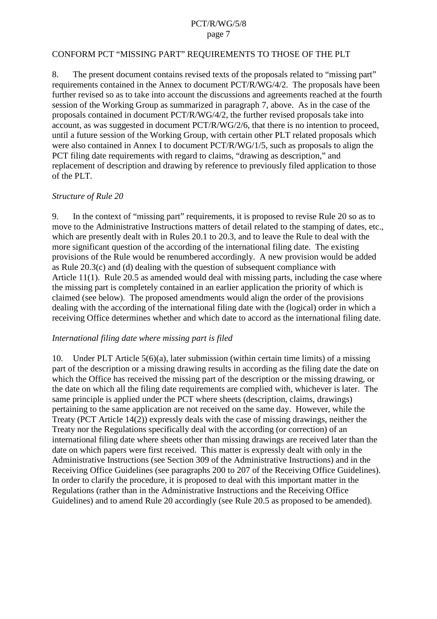#### CONFORM PCT "MISSING PART" REQUIREMENTS TO THOSE OF THE PLT

8. The present document contains revised texts of the proposals related to "missing part" requirements contained in the Annex to document PCT/R/WG/4/2. The proposals have been further revised so as to take into account the discussions and agreements reached at the fourth session of the Working Group as summarized in paragraph [7](#page-1-0), above. As in the case of the proposals contained in document PCT/R/WG/4/2, the further revised proposals take into account, as was suggested in document PCT/R/WG/2/6, that there is no intention to proceed. until a future session of the Working Group, with certain other PLT related proposals which were also contained in Annex I to document PCT/R/WG/1/5, such as proposals to align the PCT filing date requirements with regard to claims, "drawing as description," and replacement of description and drawing by reference to previously filed application to those of the PLT.

#### *Structure of Rule 20*

9. In the context of "missing part" requirements, it is proposed to revise Rule 20 so as to move to the Administrative Instructions matters of detail related to the stamping of dates, etc., which are presently dealt with in Rules 20.1 to 20.3, and to leave the Rule to deal with the more significant question of the according of the international filing date. The existing provisions of the Rule would be renumbered accordingly. A new provision would be added as Rule 20.3(c) and (d) dealing with the question of subsequent compliance with Article 11(1). Rule 20.5 as amended would deal with missing parts, including the case where the missing part is completely contained in an earlier application the priority of which is claimed (see below). The proposed amendments would align the order of the provisions dealing with the according of the international filing date with the (logical) order in which a receiving Office determines whether and which date to accord as the international filing date.

#### *International filing date where missing part is filed*

10. Under PLT Article 5(6)(a), later submission (within certain time limits) of a missing part of the description or a missing drawing results in according as the filing date the date on which the Office has received the missing part of the description or the missing drawing, or the date on which all the filing date requirements are complied with, whichever is later. The same principle is applied under the PCT where sheets (description, claims, drawings) pertaining to the same application are not received on the same day. However, while the Treaty (PCT Article 14(2)) expressly deals with the case of missing drawings, neither the Treaty nor the Regulations specifically deal with the according (or correction) of an international filing date where sheets other than missing drawings are received later than the date on which papers were first received. This matter is expressly dealt with only in the Administrative Instructions (see Section 309 of the Administrative Instructions) and in the Receiving Office Guidelines (see paragraphs 200 to 207 of the Receiving Office Guidelines). In order to clarify the procedure, it is proposed to deal with this important matter in the Regulations (rather than in the Administrative Instructions and the Receiving Office Guidelines) and to amend Rule 20 accordingly (see Rule 20.5 as proposed to be amended).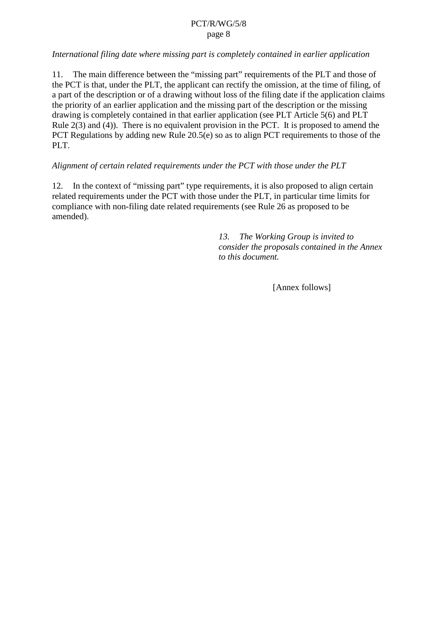# *International filing date where missing part is completely contained in earlier application*

11. The main difference between the "missing part" requirements of the PLT and those of the PCT is that, under the PLT, the applicant can rectify the omission, at the time of filing, of a part of the description or of a drawing without loss of the filing date if the application claims the priority of an earlier application and the missing part of the description or the missing drawing is completely contained in that earlier application (see PLT Article 5(6) and PLT Rule  $2(3)$  and  $(4)$ ). There is no equivalent provision in the PCT. It is proposed to amend the PCT Regulations by adding new Rule 20.5(e) so as to align PCT requirements to those of the PLT.

# *Alignment of certain related requirements under the PCT with those under the PLT*

12. In the context of "missing part" type requirements, it is also proposed to align certain related requirements under the PCT with those under the PLT, in particular time limits for compliance with non-filing date related requirements (see Rule 26 as proposed to be amended).

> *13. The Working Group is invited to consider the proposals contained in the Annex to this document.*

> > [Annex follows]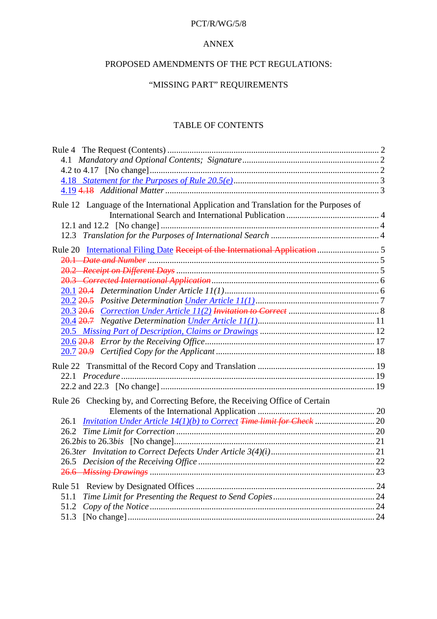## PCT/R/WG/5/8

## ANNEX

# PROPOSED AMENDMENTS OF THE PCT REGULATIONS:

# "MISSING PART" REQUIREMENTS

# TABLE OF CONTENTS

| Rule 12 Language of the International Application and Translation for the Purposes of |  |
|---------------------------------------------------------------------------------------|--|
|                                                                                       |  |
|                                                                                       |  |
|                                                                                       |  |
| Rule 20 International Filing Date Receipt of the International Application            |  |
|                                                                                       |  |
|                                                                                       |  |
|                                                                                       |  |
|                                                                                       |  |
|                                                                                       |  |
|                                                                                       |  |
|                                                                                       |  |
|                                                                                       |  |
|                                                                                       |  |
|                                                                                       |  |
|                                                                                       |  |
|                                                                                       |  |
|                                                                                       |  |
| Rule 26 Checking by, and Correcting Before, the Receiving Office of Certain           |  |
|                                                                                       |  |
|                                                                                       |  |
|                                                                                       |  |
|                                                                                       |  |
|                                                                                       |  |
|                                                                                       |  |
|                                                                                       |  |
|                                                                                       |  |
|                                                                                       |  |
|                                                                                       |  |
|                                                                                       |  |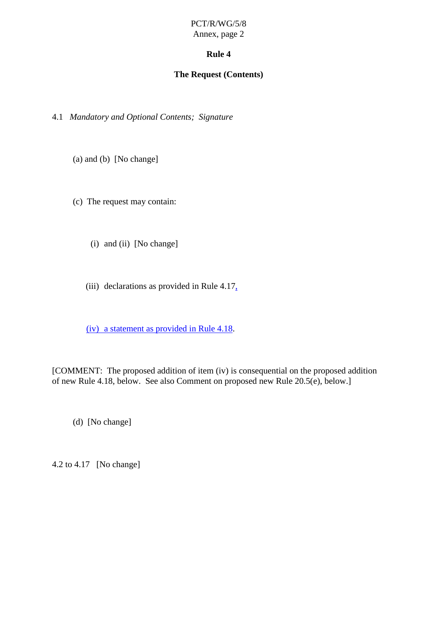# **Rule 4**

# **The Request (Contents)**

<span id="page-9-0"></span>4.1 *Mandatory and Optional Contents; Signature*

(a) and (b) [No change]

(c) The request may contain:

(i) and (ii) [No change]

(iii) declarations as provided in Rule  $4.17<sub>1</sub>$ 

(iv) a statement as provided in Rule 4.18.

[COMMENT: The proposed addition of item (iv) is consequential on the proposed addition of new Rule 4.18, below. See also Comment on proposed new Rule 20.5(e), below.]

(d) [No change]

4.2 to 4.17 [No change]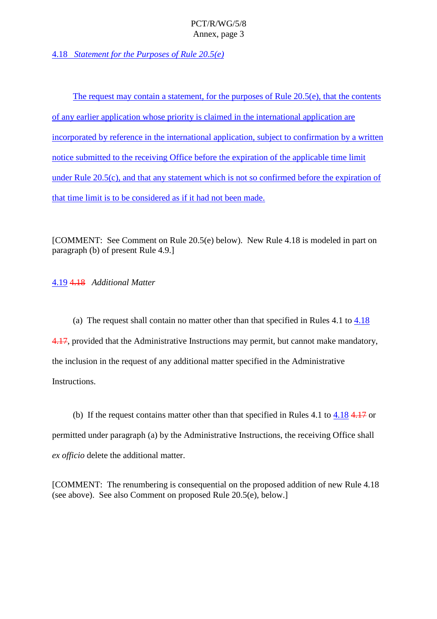<span id="page-10-0"></span>4.18 *Statement for the Purposes of Rule 20.5(e)*

The request may contain a statement, for the purposes of Rule 20.5(e), that the contents of any earlier application whose priority is claimed in the international application are incorporated by reference in the international application, subject to confirmation by a written notice submitted to the receiving Office before the expiration of the applicable time limit under Rule 20.5(c), and that any statement which is not so confirmed before the expiration of that time limit is to be considered as if it had not been made.

[COMMENT: See Comment on Rule 20.5(e) below). New Rule 4.18 is modeled in part on paragraph (b) of present Rule 4.9.]

4.19 4.18 *Additional Matter*

(a) The request shall contain no matter other than that specified in Rules 4.1 to 4.18 4.17, provided that the Administrative Instructions may permit, but cannot make mandatory, the inclusion in the request of any additional matter specified in the Administrative Instructions.

(b) If the request contains matter other than that specified in Rules 4.1 to 4.18 4.17 or permitted under paragraph (a) by the Administrative Instructions, the receiving Office shall *ex officio* delete the additional matter.

[COMMENT: The renumbering is consequential on the proposed addition of new Rule 4.18 (see above). See also Comment on proposed Rule 20.5(e), below.]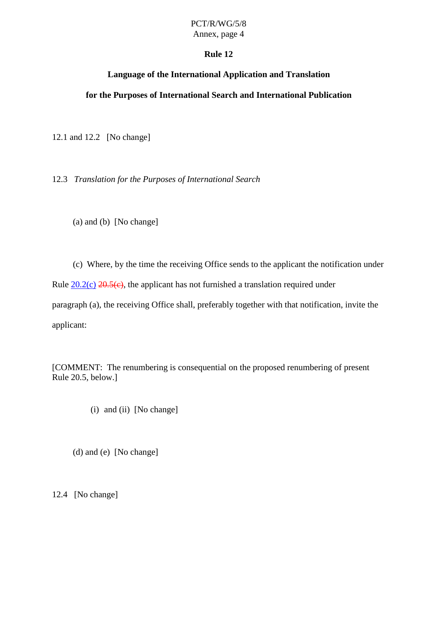# PCT/R/WG/5/8

# Annex, page 4

# **Rule 12**

# **Language of the International Application and Translation**

# <span id="page-11-0"></span>**for the Purposes of International Search and International Publication**

12.1 and 12.2 [No change]

12.3 *Translation for the Purposes of International Search*

(a) and (b) [No change]

(c) Where, by the time the receiving Office sends to the applicant the notification under Rule  $20.2(c)$   $20.5(c)$ , the applicant has not furnished a translation required under paragraph (a), the receiving Office shall, preferably together with that notification, invite the applicant:

[COMMENT: The renumbering is consequential on the proposed renumbering of present Rule 20.5, below.]

(i) and (ii) [No change]

(d) and (e) [No change]

12.4 [No change]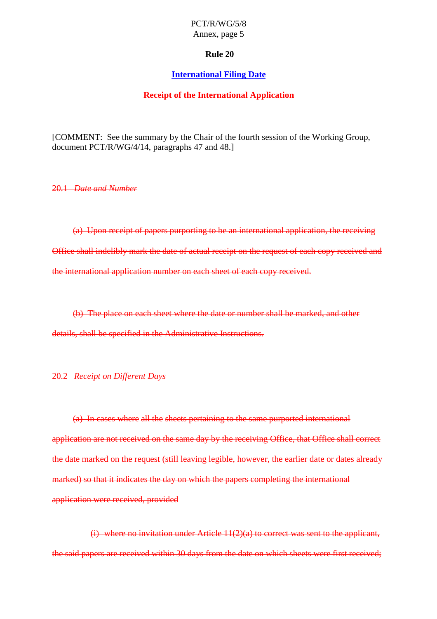#### **Rule 20**

#### **International Filing Date**

#### **Receipt of the International Application**

<span id="page-12-0"></span>[COMMENT: See the summary by the Chair of the fourth session of the Working Group, document PCT/R/WG/4/14, paragraphs 47 and 48.]

20.1 *Date and Number*

(a) Upon receipt of papers purporting to be an international application, the receiving Office shall indelibly mark the date of actual receipt on the request of each copy received and the international application number on each sheet of each copy received.

(b) The place on each sheet where the date or number shall be marked, and other details, shall be specified in the Administrative Instructions.

# 20.2 *Receipt on Different Days*

(a) In cases where all the sheets pertaining to the same purported international application are not received on the same day by the receiving Office, that Office shall correct the date marked on the request (still leaving legible, however, the earlier date or dates already marked) so that it indicates the day on which the papers completing the international application were received, provided

 $(i)$  where no invitation under Article  $11(2)(a)$  to correct was sent to the applicant, the said papers are received within 30 days from the date on which sheets were first received;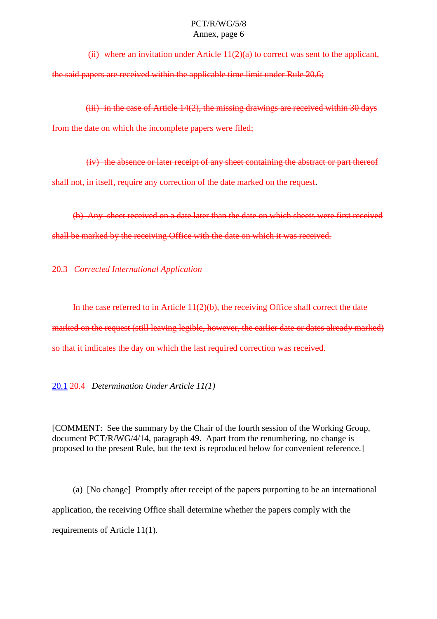<span id="page-13-0"></span>(ii) where an invitation under Article  $11(2)(a)$  to correct was sent to the applicant, the said papers are received within the applicable time limit under Rule 20.6;

 $(iii)$  in the case of Article 14(2), the missing drawings are received within 30 days from the date on which the incomplete papers were filed;

(iv) the absence or later receipt of any sheet containing the abstract or part thereof shall not, in itself, require any correction of the date marked on the request.

(b) Any sheet received on a date later than the date on which sheets were first received shall be marked by the receiving Office with the date on which it was received.

20.3 *Corrected International Application*

In the case referred to in Article 11(2)(b), the receiving Office shall correct the date marked on the request (still leaving legible, however, the earlier date or dates already marked) so that it indicates the day on which the last required correction was received.

20.1 20.4 *Determination Under Article 11(1)*

[COMMENT: See the summary by the Chair of the fourth session of the Working Group, document PCT/R/WG/4/14, paragraph 49. Apart from the renumbering, no change is proposed to the present Rule, but the text is reproduced below for convenient reference.]

(a) [No change] Promptly after receipt of the papers purporting to be an international application, the receiving Office shall determine whether the papers comply with the requirements of Article 11(1).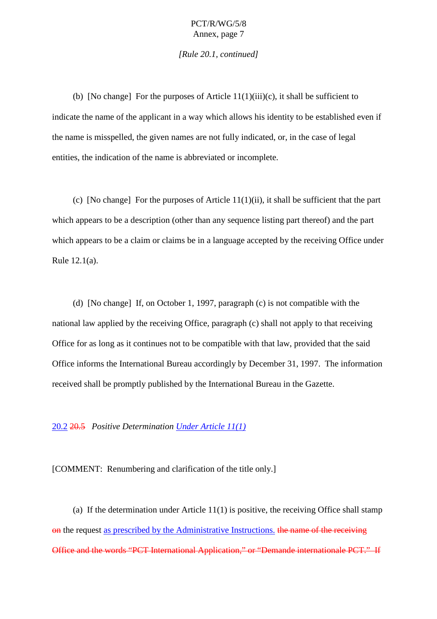*[Rule 20.1, continued]*

<span id="page-14-0"></span>(b) [No change] For the purposes of Article  $11(1)(iii)(c)$ , it shall be sufficient to indicate the name of the applicant in a way which allows his identity to be established even if the name is misspelled, the given names are not fully indicated, or, in the case of legal entities, the indication of the name is abbreviated or incomplete.

(c) [No change] For the purposes of Article 11(1)(ii), it shall be sufficient that the part which appears to be a description (other than any sequence listing part thereof) and the part which appears to be a claim or claims be in a language accepted by the receiving Office under Rule 12.1(a).

(d) [No change] If, on October 1, 1997, paragraph (c) is not compatible with the national law applied by the receiving Office, paragraph (c) shall not apply to that receiving Office for as long as it continues not to be compatible with that law, provided that the said Office informs the International Bureau accordingly by December 31, 1997. The information received shall be promptly published by the International Bureau in the Gazette.

#### 20.2 20.5 *Positive Determination Under Article 11(1)*

[COMMENT: Renumbering and clarification of the title only.]

(a) If the determination under Article  $11(1)$  is positive, the receiving Office shall stamp on the request as prescribed by the Administrative Instructions. the name of the receiving Office and the words "PCT International Application," or "Demande internationale PCT." If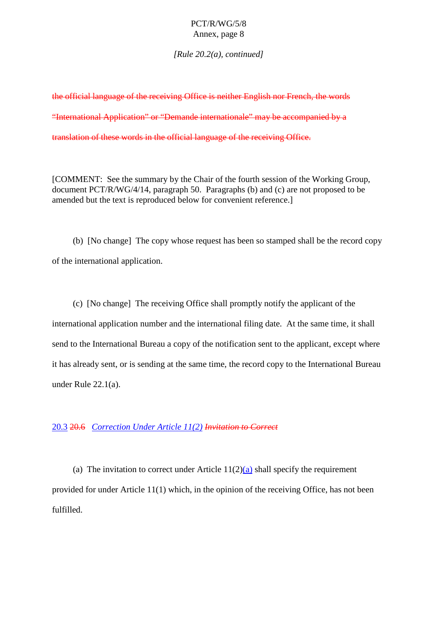*[Rule 20.2(a), continued]*

<span id="page-15-0"></span>the official language of the receiving Office is neither English nor French, the words "International Application" or "Demande internationale" may be accompanied by a translation of these words in the official language of the receiving Office.

[COMMENT: See the summary by the Chair of the fourth session of the Working Group, document PCT/R/WG/4/14, paragraph 50. Paragraphs (b) and (c) are not proposed to be amended but the text is reproduced below for convenient reference.]

(b) [No change] The copy whose request has been so stamped shall be the record copy of the international application.

(c) [No change] The receiving Office shall promptly notify the applicant of the international application number and the international filing date. At the same time, it shall send to the International Bureau a copy of the notification sent to the applicant, except where it has already sent, or is sending at the same time, the record copy to the International Bureau under Rule 22.1(a).

#### 20.3 20.6 *Correction Under Article 11(2) Invitation to Correct*

(a) The invitation to correct under Article  $11(2)(a)$  shall specify the requirement provided for under Article 11(1) which, in the opinion of the receiving Office, has not been fulfilled.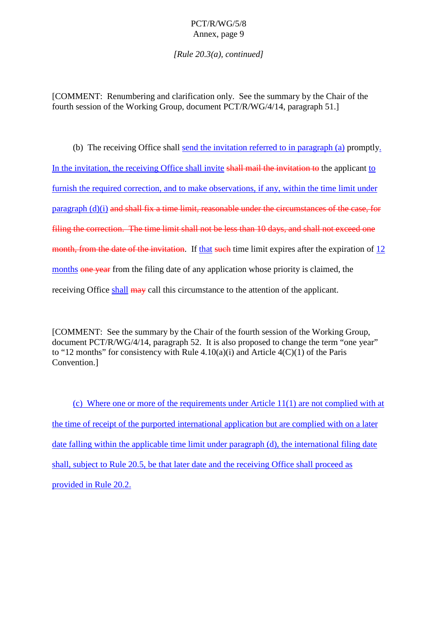*[Rule 20.3(a), continued]*

[COMMENT: Renumbering and clarification only. See the summary by the Chair of the fourth session of the Working Group, document PCT/R/WG/4/14, paragraph 51.]

(b) The receiving Office shall send the invitation referred to in paragraph (a) promptly. In the invitation, the receiving Office shall invite shall mail the invitation to the applicant to furnish the required correction, and to make observations, if any, within the time limit under paragraph (d)(i) and shall fix a time limit, reasonable under the circumstances of the case, for filing the correction. The time limit shall not be less than 10 days, and shall not exceed one month, from the date of the invitation. If that such time limit expires after the expiration of 12 months one year from the filing date of any application whose priority is claimed, the receiving Office shall  $\frac{may}{may}$  call this circumstance to the attention of the applicant.

[COMMENT: See the summary by the Chair of the fourth session of the Working Group, document PCT/R/WG/4/14, paragraph 52. It is also proposed to change the term "one year" to "12 months" for consistency with Rule  $4.10(a)(i)$  and Article  $4(C)(1)$  of the Paris Convention.]

(c) Where one or more of the requirements under Article 11(1) are not complied with at the time of receipt of the purported international application but are complied with on a later date falling within the applicable time limit under paragraph (d), the international filing date shall, subject to Rule 20.5, be that later date and the receiving Office shall proceed as provided in Rule 20.2.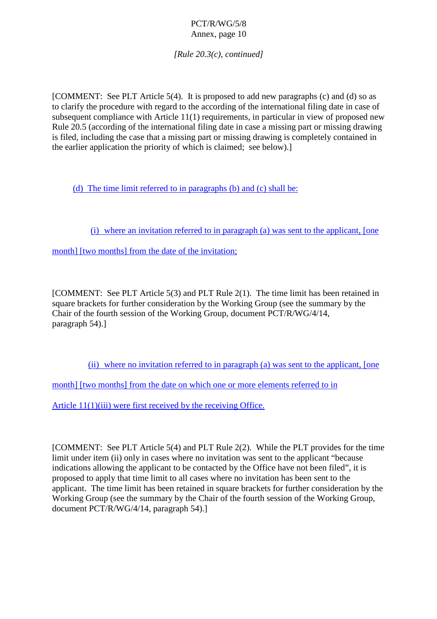*[Rule 20.3(c), continued]*

[COMMENT: See PLT Article 5(4). It is proposed to add new paragraphs (c) and (d) so as to clarify the procedure with regard to the according of the international filing date in case of subsequent compliance with Article 11(1) requirements, in particular in view of proposed new Rule 20.5 (according of the international filing date in case a missing part or missing drawing is filed, including the case that a missing part or missing drawing is completely contained in the earlier application the priority of which is claimed; see below).]

(d) The time limit referred to in paragraphs (b) and (c) shall be:

(i) where an invitation referred to in paragraph (a) was sent to the applicant, [one

month] [two months] from the date of the invitation;

[COMMENT: See PLT Article 5(3) and PLT Rule 2(1). The time limit has been retained in square brackets for further consideration by the Working Group (see the summary by the Chair of the fourth session of the Working Group, document PCT/R/WG/4/14, paragraph 54).]

(ii) where no invitation referred to in paragraph (a) was sent to the applicant, [one

month] [two months] from the date on which one or more elements referred to in

Article 11(1)(iii) were first received by the receiving Office.

[COMMENT: See PLT Article 5(4) and PLT Rule 2(2). While the PLT provides for the time limit under item (ii) only in cases where no invitation was sent to the applicant "because" indications allowing the applicant to be contacted by the Office have not been filed", it is proposed to apply that time limit to all cases where no invitation has been sent to the applicant. The time limit has been retained in square brackets for further consideration by the Working Group (see the summary by the Chair of the fourth session of the Working Group, document PCT/R/WG/4/14, paragraph 54).]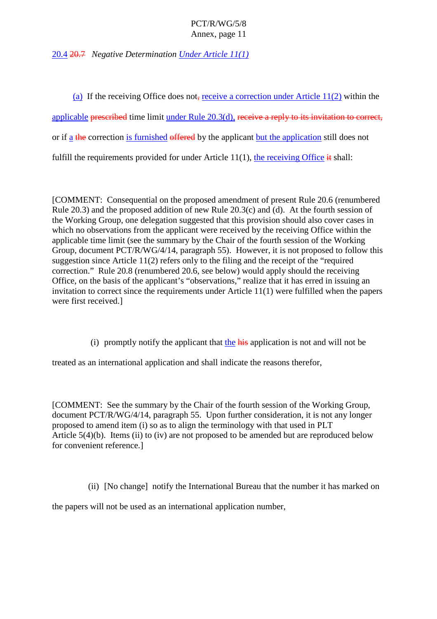<span id="page-18-0"></span>20.4 20.7 *Negative Determination Under Article 11(1)*

(a) If the receiving Office does not, receive a correction under Article  $11(2)$  within the applicable prescribed time limit under Rule 20.3(d), receive a reply to its invitation to correct, or if a the correction is furnished offered by the applicant but the application still does not fulfill the requirements provided for under Article 11(1), the receiving Office  $\dot{\mathbf{t}}$  shall:

[COMMENT: Consequential on the proposed amendment of present Rule 20.6 (renumbered Rule 20.3) and the proposed addition of new Rule 20.3(c) and (d). At the fourth session of the Working Group, one delegation suggested that this provision should also cover cases in which no observations from the applicant were received by the receiving Office within the applicable time limit (see the summary by the Chair of the fourth session of the Working Group, document PCT/R/WG/4/14, paragraph 55). However, it is not proposed to follow this suggestion since Article 11(2) refers only to the filing and the receipt of the "required correction." Rule 20.8 (renumbered 20.6, see below) would apply should the receiving Office, on the basis of the applicant's "observations," realize that it has erred in issuing an invitation to correct since the requirements under Article 11(1) were fulfilled when the papers were first received.]

(i) promptly notify the applicant that the  $\overline{h}$  application is not and will not be

treated as an international application and shall indicate the reasons therefor,

[COMMENT: See the summary by the Chair of the fourth session of the Working Group, document PCT/R/WG/4/14, paragraph 55. Upon further consideration, it is not any longer proposed to amend item (i) so as to align the terminology with that used in PLT Article 5(4)(b). Items (ii) to (iv) are not proposed to be amended but are reproduced below for convenient reference.]

(ii) [No change] notify the International Bureau that the number it has marked on

the papers will not be used as an international application number,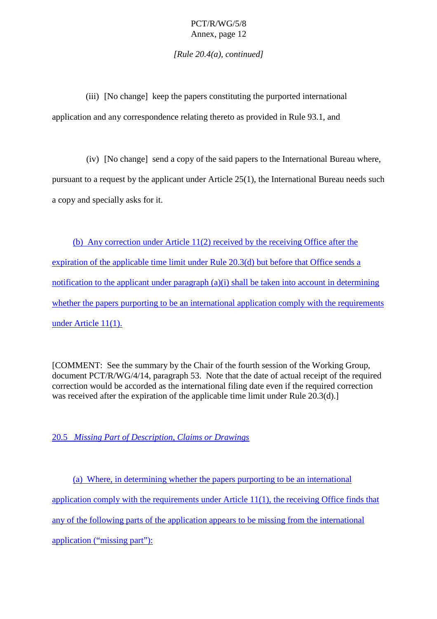*[Rule 20.4(a), continued]*

<span id="page-19-0"></span>(iii) [No change] keep the papers constituting the purported international application and any correspondence relating thereto as provided in Rule 93.1, and

(iv) [No change] send a copy of the said papers to the International Bureau where, pursuant to a request by the applicant under Article 25(1), the International Bureau needs such

(b) Any correction under Article 11(2) received by the receiving Office after the expiration of the applicable time limit under Rule 20.3(d) but before that Office sends a notification to the applicant under paragraph (a)(i) shall be taken into account in determining whether the papers purporting to be an international application comply with the requirements under Article 11(1).

[COMMENT: See the summary by the Chair of the fourth session of the Working Group, document PCT/R/WG/4/14, paragraph 53. Note that the date of actual receipt of the required correction would be accorded as the international filing date even if the required correction was received after the expiration of the applicable time limit under Rule 20.3(d).]

20.5 *Missing Part of Description, Claims or Drawings*

a copy and specially asks for it.

(a) Where, in determining whether the papers purporting to be an international application comply with the requirements under Article 11(1), the receiving Office finds that any of the following parts of the application appears to be missing from the international application ("missing part"):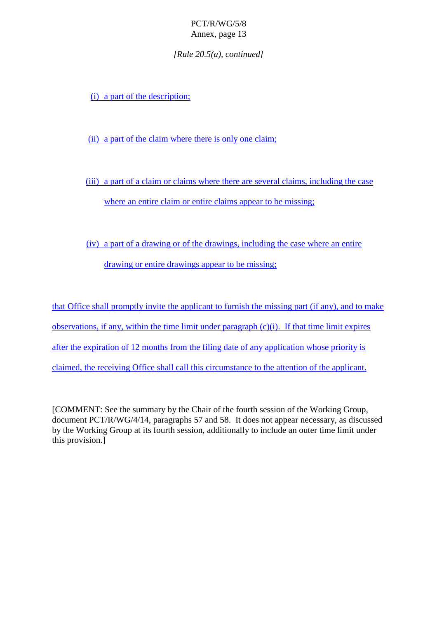*[Rule 20.5(a), continued]*

(i) a part of the description;

(ii) a part of the claim where there is only one claim;

(iii) a part of a claim or claims where there are several claims, including the case where an entire claim or entire claims appear to be missing;

(iv) a part of a drawing or of the drawings, including the case where an entire drawing or entire drawings appear to be missing;

that Office shall promptly invite the applicant to furnish the missing part (if any), and to make observations, if any, within the time limit under paragraph (c)(i). If that time limit expires after the expiration of 12 months from the filing date of any application whose priority is claimed, the receiving Office shall call this circumstance to the attention of the applicant.

[COMMENT: See the summary by the Chair of the fourth session of the Working Group, document PCT/R/WG/4/14, paragraphs 57 and 58. It does not appear necessary, as discussed by the Working Group at its fourth session, additionally to include an outer time limit under this provision.]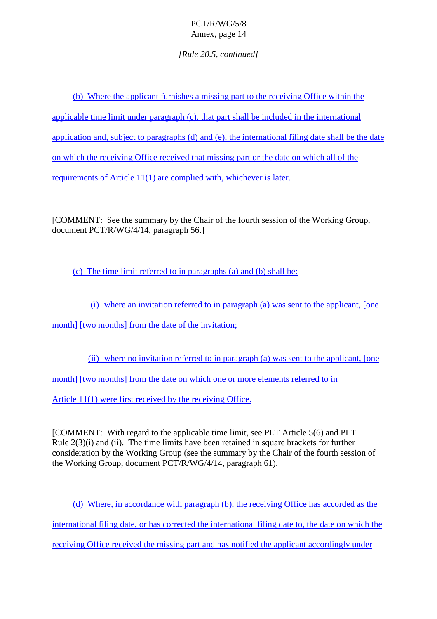*[Rule 20.5, continued]*

(b) Where the applicant furnishes a missing part to the receiving Office within the applicable time limit under paragraph (c), that part shall be included in the international application and, subject to paragraphs (d) and (e), the international filing date shall be the date on which the receiving Office received that missing part or the date on which all of the requirements of Article 11(1) are complied with, whichever is later.

[COMMENT: See the summary by the Chair of the fourth session of the Working Group, document PCT/R/WG/4/14, paragraph 56.]

(c) The time limit referred to in paragraphs (a) and (b) shall be:

(i) where an invitation referred to in paragraph (a) was sent to the applicant, [one month] [two months] from the date of the invitation;

(ii) where no invitation referred to in paragraph (a) was sent to the applicant, [one month] [two months] from the date on which one or more elements referred to in Article 11(1) were first received by the receiving Office.

[COMMENT: With regard to the applicable time limit, see PLT Article 5(6) and PLT Rule 2(3)(i) and (ii). The time limits have been retained in square brackets for further consideration by the Working Group (see the summary by the Chair of the fourth session of the Working Group, document PCT/R/WG/4/14, paragraph 61).]

(d) Where, in accordance with paragraph (b), the receiving Office has accorded as the international filing date, or has corrected the international filing date to, the date on which the receiving Office received the missing part and has notified the applicant accordingly under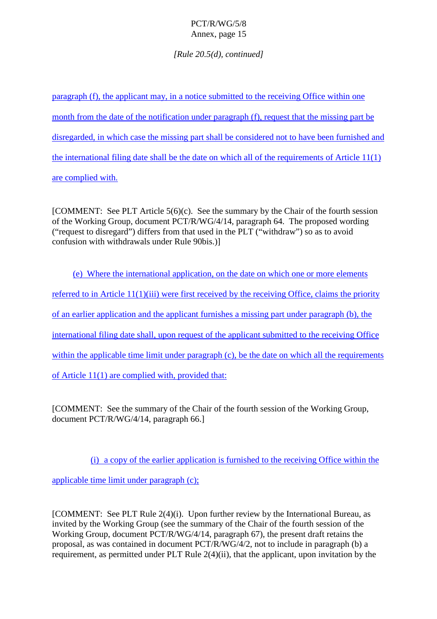*[Rule 20.5(d), continued]*

paragraph (f), the applicant may, in a notice submitted to the receiving Office within one month from the date of the notification under paragraph (f), request that the missing part be disregarded, in which case the missing part shall be considered not to have been furnished and the international filing date shall be the date on which all of the requirements of Article 11(1) are complied with.

[COMMENT: See PLT Article 5(6)(c). See the summary by the Chair of the fourth session of the Working Group, document PCT/R/WG/4/14, paragraph 64. The proposed wording ("request to disregard") differs from that used in the PLT ("withdraw") so as to avoid confusion with withdrawals under Rule 90bis.)]

(e) Where the international application, on the date on which one or more elements referred to in Article 11(1)(iii) were first received by the receiving Office, claims the priority of an earlier application and the applicant furnishes a missing part under paragraph (b), the international filing date shall, upon request of the applicant submitted to the receiving Office within the applicable time limit under paragraph (c), be the date on which all the requirements of Article 11(1) are complied with, provided that:

[COMMENT: See the summary of the Chair of the fourth session of the Working Group, document PCT/R/WG/4/14, paragraph 66.]

(i) a copy of the earlier application is furnished to the receiving Office within the

applicable time limit under paragraph (c);

[COMMENT: See PLT Rule 2(4)(i). Upon further review by the International Bureau, as invited by the Working Group (see the summary of the Chair of the fourth session of the Working Group, document PCT/R/WG/4/14, paragraph 67), the present draft retains the proposal, as was contained in document PCT/R/WG/4/2, not to include in paragraph (b) a requirement, as permitted under PLT Rule 2(4)(ii), that the applicant, upon invitation by the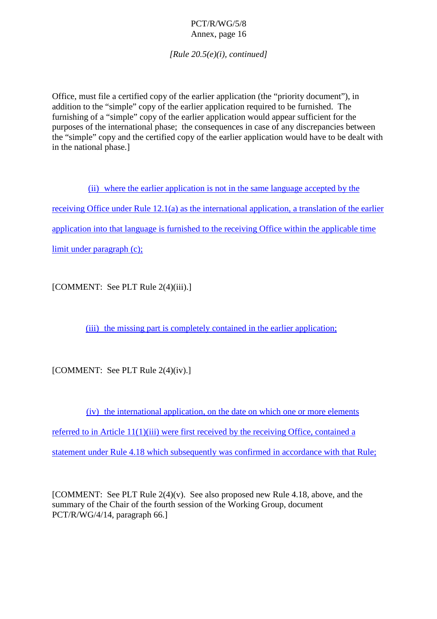*[Rule 20.5(e)(i), continued]*

Office, must file a certified copy of the earlier application (the "priority document"), in addition to the "simple" copy of the earlier application required to be furnished. The furnishing of a "simple" copy of the earlier application would appear sufficient for the purposes of the international phase; the consequences in case of any discrepancies between the "simple" copy and the certified copy of the earlier application would have to be dealt with in the national phase.]

(ii) where the earlier application is not in the same language accepted by the receiving Office under Rule 12.1(a) as the international application, a translation of the earlier application into that language is furnished to the receiving Office within the applicable time limit under paragraph (c);

[COMMENT: See PLT Rule 2(4)(iii).]

(iii) the missing part is completely contained in the earlier application;

[COMMENT: See PLT Rule 2(4)(iv).]

(iv) the international application, on the date on which one or more elements referred to in Article 11(1)(iii) were first received by the receiving Office, contained a statement under Rule 4.18 which subsequently was confirmed in accordance with that Rule;

[COMMENT: See PLT Rule 2(4)(v). See also proposed new Rule 4.18, above, and the summary of the Chair of the fourth session of the Working Group, document PCT/R/WG/4/14, paragraph 66.]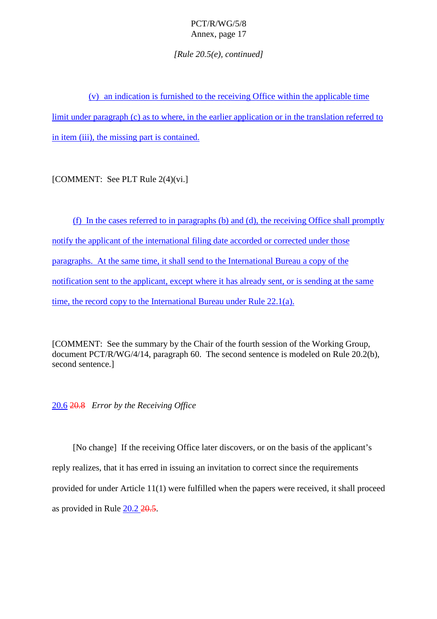*[Rule 20.5(e), continued]*

<span id="page-24-0"></span>(v) an indication is furnished to the receiving Office within the applicable time limit under paragraph (c) as to where, in the earlier application or in the translation referred to in item (iii), the missing part is contained.

[COMMENT: See PLT Rule 2(4)(vi.]

(f) In the cases referred to in paragraphs (b) and (d), the receiving Office shall promptly notify the applicant of the international filing date accorded or corrected under those paragraphs. At the same time, it shall send to the International Bureau a copy of the notification sent to the applicant, except where it has already sent, or is sending at the same time, the record copy to the International Bureau under Rule 22.1(a).

[COMMENT: See the summary by the Chair of the fourth session of the Working Group, document PCT/R/WG/4/14, paragraph 60. The second sentence is modeled on Rule 20.2(b), second sentence.]

20.6 20.8 *Error by the Receiving Office*

[No change] If the receiving Office later discovers, or on the basis of the applicant's reply realizes, that it has erred in issuing an invitation to correct since the requirements provided for under Article 11(1) were fulfilled when the papers were received, it shall proceed as provided in Rule 20.2 20.5.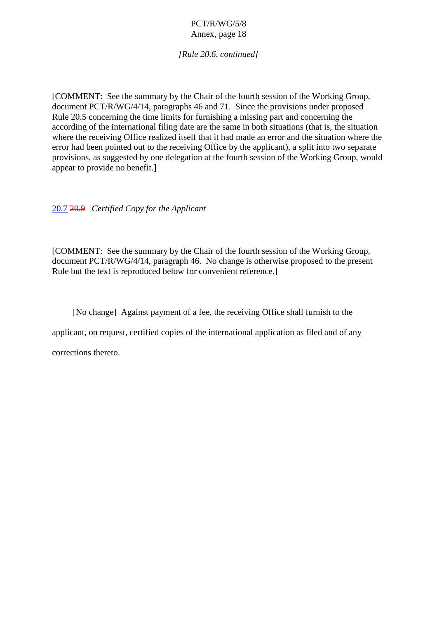*[Rule 20.6, continued]*

<span id="page-25-0"></span>[COMMENT: See the summary by the Chair of the fourth session of the Working Group, document PCT/R/WG/4/14, paragraphs 46 and 71. Since the provisions under proposed Rule 20.5 concerning the time limits for furnishing a missing part and concerning the according of the international filing date are the same in both situations (that is, the situation where the receiving Office realized itself that it had made an error and the situation where the error had been pointed out to the receiving Office by the applicant), a split into two separate provisions, as suggested by one delegation at the fourth session of the Working Group, would appear to provide no benefit.]

20.7 20.9 *Certified Copy for the Applicant*

[COMMENT: See the summary by the Chair of the fourth session of the Working Group, document PCT/R/WG/4/14, paragraph 46. No change is otherwise proposed to the present Rule but the text is reproduced below for convenient reference.]

[No change] Against payment of a fee, the receiving Office shall furnish to the

applicant, on request, certified copies of the international application as filed and of any

corrections thereto.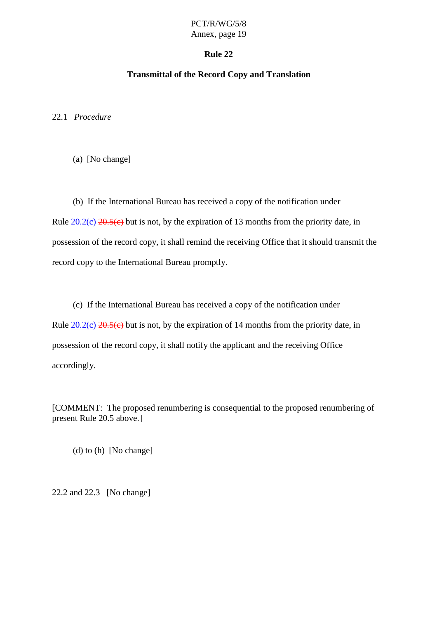### **Rule 22**

# **Transmittal of the Record Copy and Translation**

<span id="page-26-0"></span>22.1 *Procedure*

(a) [No change]

(b) If the International Bureau has received a copy of the notification under Rule  $20.2(c)$   $20.5(c)$  but is not, by the expiration of 13 months from the priority date, in possession of the record copy, it shall remind the receiving Office that it should transmit the record copy to the International Bureau promptly.

(c) If the International Bureau has received a copy of the notification under Rule  $20.2(c)$   $20.5(c)$  but is not, by the expiration of 14 months from the priority date, in possession of the record copy, it shall notify the applicant and the receiving Office accordingly.

[COMMENT: The proposed renumbering is consequential to the proposed renumbering of present Rule 20.5 above.]

(d) to (h) [No change]

22.2 and 22.3 [No change]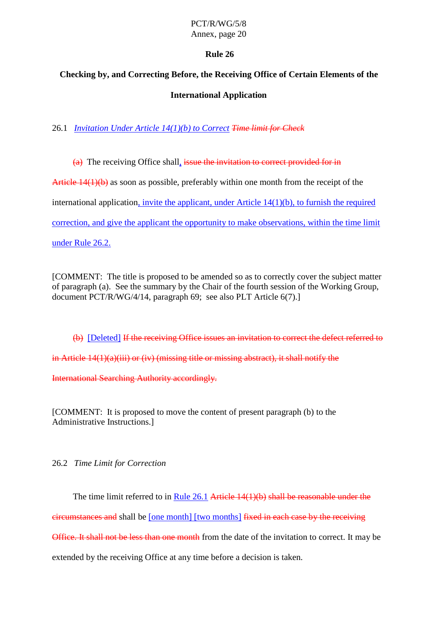# **Rule 26**

# <span id="page-27-0"></span>**Checking by, and Correcting Before, the Receiving Office of Certain Elements of the International Application**

26.1 *Invitation Under Article 14(1)(b) to Correct Time limit for Check*

(a) The receiving Office shall, issue the invitation to correct provided for in

Article 14(1)(b) as soon as possible, preferably within one month from the receipt of the

international application, invite the applicant, under Article 14(1)(b), to furnish the required

correction, and give the applicant the opportunity to make observations, within the time limit

under Rule 26.2.

[COMMENT: The title is proposed to be amended so as to correctly cover the subject matter of paragraph (a). See the summary by the Chair of the fourth session of the Working Group, document PCT/R/WG/4/14, paragraph 69; see also PLT Article 6(7).

(b) [Deleted] If the receiving Office issues an invitation to correct the defect referred to in Article 14(1)(a)(iii) or (iv) (missing title or missing abstract), it shall notify the

International Searching Authority accordingly.

[COMMENT: It is proposed to move the content of present paragraph (b) to the Administrative Instructions.]

26.2 *Time Limit for Correction*

The time limit referred to in Rule 26.1 Article 14(1)(b) shall be reasonable under the

circumstances and shall be [one month] [two months] fixed in each case by the receiving

Office. It shall not be less than one month from the date of the invitation to correct. It may be

extended by the receiving Office at any time before a decision is taken.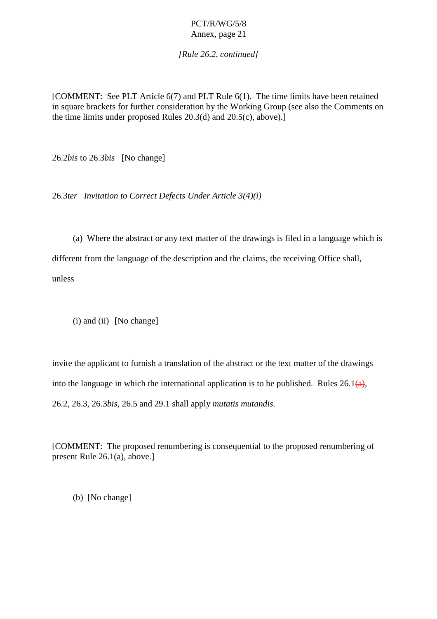*[Rule 26.2, continued]*

<span id="page-28-0"></span>[COMMENT: See PLT Article 6(7) and PLT Rule 6(1). The time limits have been retained in square brackets for further consideration by the Working Group (see also the Comments on the time limits under proposed Rules 20.3(d) and 20.5(c), above).]

26.2*bis* to 26.3*bis* [No change]

26.3*ter Invitation to Correct Defects Under Article 3(4)(i)*

(a) Where the abstract or any text matter of the drawings is filed in a language which is different from the language of the description and the claims, the receiving Office shall, unless

(i) and (ii) [No change]

invite the applicant to furnish a translation of the abstract or the text matter of the drawings into the language in which the international application is to be published. Rules  $26.1(a)$ , 26.2, 26.3, 26.3*bis*, 26.5 and 29.1 shall apply *mutatis mutandis*.

[COMMENT: The proposed renumbering is consequential to the proposed renumbering of present Rule 26.1(a), above.]

(b) [No change]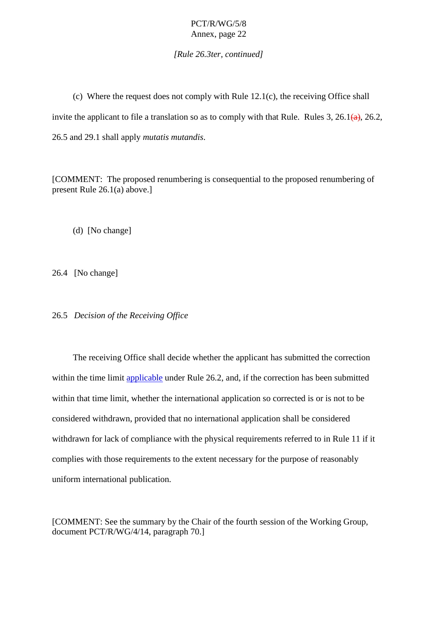*[Rule 26.3ter, continued]*

<span id="page-29-0"></span>(c) Where the request does not comply with Rule 12.1(c), the receiving Office shall invite the applicant to file a translation so as to comply with that Rule. Rules 3, 26.1 $\left(\frac{a}{a}\right)$ , 26.2, 26.5 and 29.1 shall apply *mutatis mutandis*.

[COMMENT: The proposed renumbering is consequential to the proposed renumbering of present Rule 26.1(a) above.]

(d) [No change]

26.4 [No change]

26.5 *Decision of the Receiving Office*

The receiving Office shall decide whether the applicant has submitted the correction within the time limit applicable under Rule 26.2, and, if the correction has been submitted within that time limit, whether the international application so corrected is or is not to be considered withdrawn, provided that no international application shall be considered withdrawn for lack of compliance with the physical requirements referred to in Rule 11 if it complies with those requirements to the extent necessary for the purpose of reasonably uniform international publication.

[COMMENT: See the summary by the Chair of the fourth session of the Working Group, document PCT/R/WG/4/14, paragraph 70.]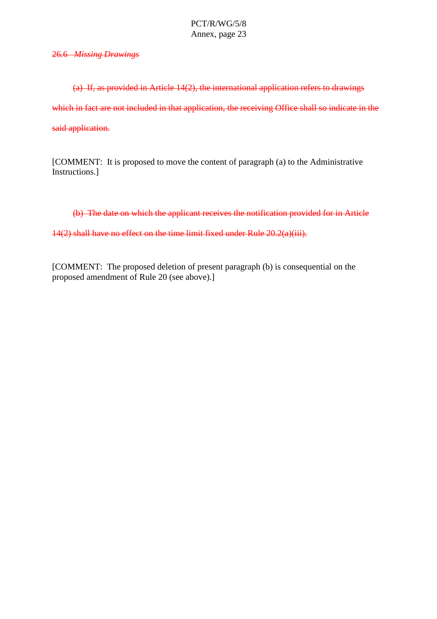<span id="page-30-0"></span>26.6 *Missing Drawings*

(a) If, as provided in Article 14(2), the international application refers to drawings which in fact are not included in that application, the receiving Office shall so indicate in the said application.

[COMMENT: It is proposed to move the content of paragraph (a) to the Administrative Instructions.]

(b) The date on which the applicant receives the notification provided for in Article

14(2) shall have no effect on the time limit fixed under Rule 20.2(a)(iii).

[COMMENT: The proposed deletion of present paragraph (b) is consequential on the proposed amendment of Rule 20 (see above).]